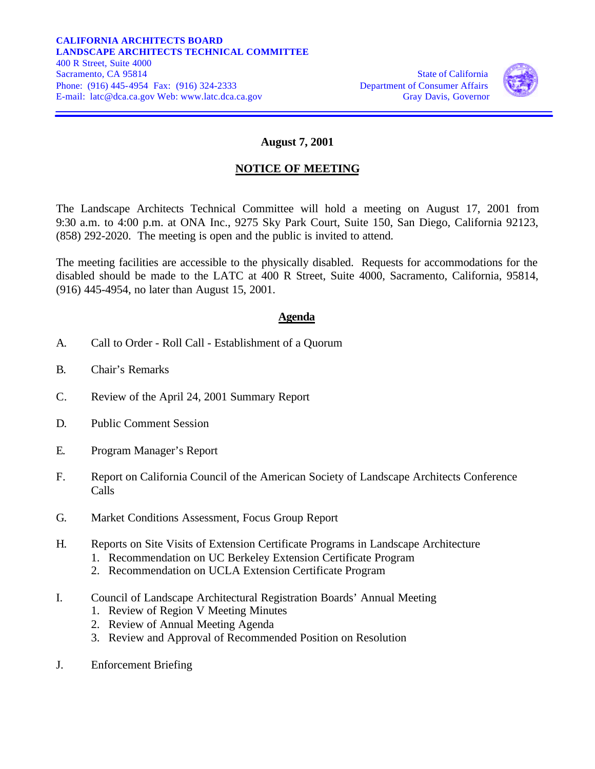

## **August 7, 2001**

## **NOTICE OF MEETING**

The Landscape Architects Technical Committee will hold a meeting on August 17, 2001 from 9:30 a.m. to 4:00 p.m. at ONA Inc., 9275 Sky Park Court, Suite 150, San Diego, California 92123, (858) 292-2020. The meeting is open and the public is invited to attend.

The meeting facilities are accessible to the physically disabled. Requests for accommodations for the disabled should be made to the LATC at 400 R Street, Suite 4000, Sacramento, California, 95814, (916) 445-4954, no later than August 15, 2001.

## **Agenda**

- A. Call to Order Roll Call Establishment of a Quorum
- B. Chair's Remarks
- C. Review of the April 24, 2001 Summary Report
- D. Public Comment Session
- E. Program Manager's Report
- F. Report on California Council of the American Society of Landscape Architects Conference Calls
- G. Market Conditions Assessment, Focus Group Report
- H. Reports on Site Visits of Extension Certificate Programs in Landscape Architecture
	- 1. Recommendation on UC Berkeley Extension Certificate Program
	- 2. Recommendation on UCLA Extension Certificate Program
- I. Council of Landscape Architectural Registration Boards' Annual Meeting
	- 1. Review of Region V Meeting Minutes
	- 2. Review of Annual Meeting Agenda
	- 3. Review and Approval of Recommended Position on Resolution
- J. Enforcement Briefing